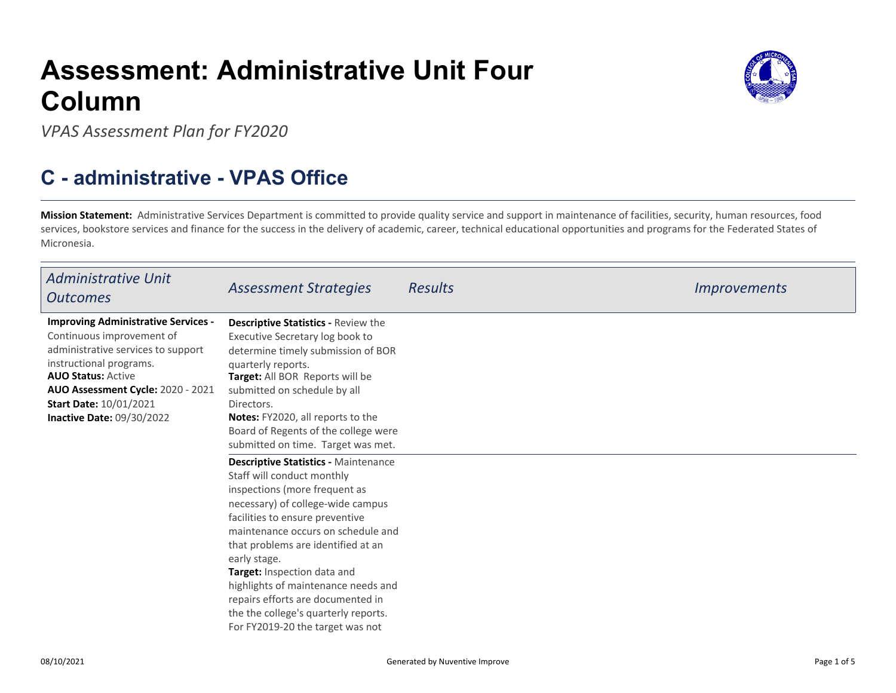## **Assessment: Administrative Unit FourColumn**



## **C - administrative - VPAS Office**

**Mission Statement:** Administrative Services Department is committed to provide quality service and support in maintenance of facilities, security, human resources, food services, bookstore services and finance for the success in the delivery of academic, career, technical educational opportunities and programs for the Federated States ofMicronesia.

| <b>Administrative Unit</b><br><b>Outcomes</b>                                                                                                                                                                                                                                   | <b>Assessment Strategies</b>                                                                                                                                                                                                                                                                                                                                                                                                                                                                                                                                                                                                                                                                                                                                                                                                  | <b>Results</b> | <i>Improvements</i> |
|---------------------------------------------------------------------------------------------------------------------------------------------------------------------------------------------------------------------------------------------------------------------------------|-------------------------------------------------------------------------------------------------------------------------------------------------------------------------------------------------------------------------------------------------------------------------------------------------------------------------------------------------------------------------------------------------------------------------------------------------------------------------------------------------------------------------------------------------------------------------------------------------------------------------------------------------------------------------------------------------------------------------------------------------------------------------------------------------------------------------------|----------------|---------------------|
| <b>Improving Administrative Services -</b><br>Continuous improvement of<br>administrative services to support<br>instructional programs.<br><b>AUO Status: Active</b><br>AUO Assessment Cycle: 2020 - 2021<br><b>Start Date: 10/01/2021</b><br><b>Inactive Date: 09/30/2022</b> | <b>Descriptive Statistics - Review the</b><br>Executive Secretary log book to<br>determine timely submission of BOR<br>quarterly reports.<br>Target: All BOR Reports will be<br>submitted on schedule by all<br>Directors.<br>Notes: FY2020, all reports to the<br>Board of Regents of the college were<br>submitted on time. Target was met.<br><b>Descriptive Statistics - Maintenance</b><br>Staff will conduct monthly<br>inspections (more frequent as<br>necessary) of college-wide campus<br>facilities to ensure preventive<br>maintenance occurs on schedule and<br>that problems are identified at an<br>early stage.<br><b>Target:</b> Inspection data and<br>highlights of maintenance needs and<br>repairs efforts are documented in<br>the the college's quarterly reports.<br>For FY2019-20 the target was not |                |                     |



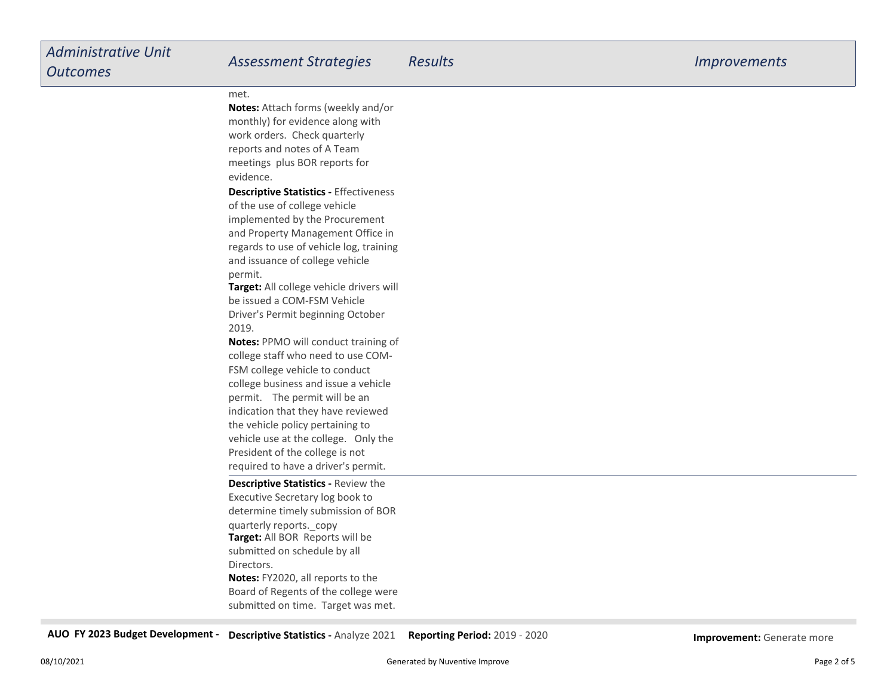## met.

**Notes:** Attach forms (weekly and/ormonthly) for evidence along withwork orders. Check quarterly reports and notes of A Team meetings plus BOR reports forevidence.

**Descriptive Statistics -** Effectivenessof the use of college vehicle implemented by the Procurement and Property Management Office in regards to use of vehicle log, trainingand issuance of college vehiclepermit.

**Target:** All college vehicle drivers will be issued a COM-FSM Vehicle Driver's Permit beginning October2019.

**Notes:** PPMO will conduct training ofcollege staff who need to use COM-FSM college vehicle to conduct college business and issue a vehiclepermit. The permit will be an indication that they have reviewedthe vehicle policy pertaining to vehicle use at the college. Only thePresident of the college is notrequired to have a driver's permit.

**Target:** All BOR Reports will be submitted on schedule by allDirectors. **Notes:** FY2020, all reports to the Board of Regents of the college were submitted on time. Target was met.**Descriptive Statistics -** Review theExecutive Secretary log book to determine timely submission of BORquarterly reports.\_copy

**AUO FY 2023 Budget Development - Descriptive Statistics -** Analyze 2021**Reporting Period:** 2019 - 2020 **Improvement:** Generate more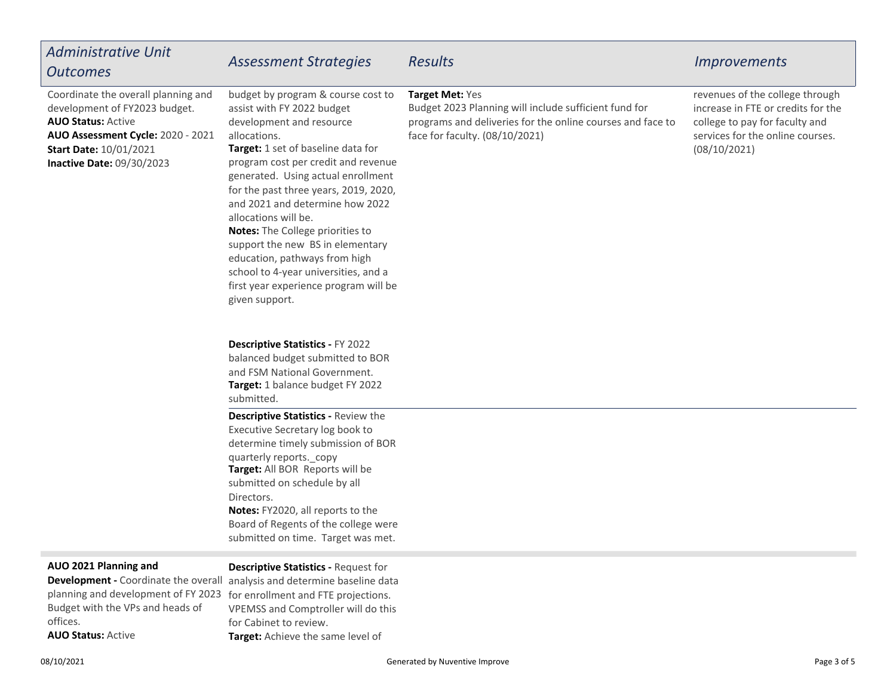| <b>Administrative Unit</b><br><b>Outcomes</b>                                                                                                                                                        | <b>Assessment Strategies</b>                                                                                                                                                                                                                                                                                                                                                                                                                                                                                                                    | <b>Results</b>                                                                                                                                                           | <i>Improvements</i>                                                                                                                                         |
|------------------------------------------------------------------------------------------------------------------------------------------------------------------------------------------------------|-------------------------------------------------------------------------------------------------------------------------------------------------------------------------------------------------------------------------------------------------------------------------------------------------------------------------------------------------------------------------------------------------------------------------------------------------------------------------------------------------------------------------------------------------|--------------------------------------------------------------------------------------------------------------------------------------------------------------------------|-------------------------------------------------------------------------------------------------------------------------------------------------------------|
| Coordinate the overall planning and<br>development of FY2023 budget.<br><b>AUO Status: Active</b><br>AUO Assessment Cycle: 2020 - 2021<br><b>Start Date: 10/01/2021</b><br>Inactive Date: 09/30/2023 | budget by program & course cost to<br>assist with FY 2022 budget<br>development and resource<br>allocations.<br>Target: 1 set of baseline data for<br>program cost per credit and revenue<br>generated. Using actual enrollment<br>for the past three years, 2019, 2020,<br>and 2021 and determine how 2022<br>allocations will be.<br>Notes: The College priorities to<br>support the new BS in elementary<br>education, pathways from high<br>school to 4-year universities, and a<br>first year experience program will be<br>given support. | Target Met: Yes<br>Budget 2023 Planning will include sufficient fund for<br>programs and deliveries for the online courses and face to<br>face for faculty. (08/10/2021) | revenues of the college through<br>increase in FTE or credits for the<br>college to pay for faculty and<br>services for the online courses.<br>(08/10/2021) |
|                                                                                                                                                                                                      | Descriptive Statistics - FY 2022<br>balanced budget submitted to BOR<br>and FSM National Government.<br>Target: 1 balance budget FY 2022<br>submitted.                                                                                                                                                                                                                                                                                                                                                                                          |                                                                                                                                                                          |                                                                                                                                                             |
|                                                                                                                                                                                                      | <b>Descriptive Statistics - Review the</b><br>Executive Secretary log book to<br>determine timely submission of BOR<br>quarterly reports._copy<br>Target: All BOR Reports will be<br>submitted on schedule by all<br>Directors.<br>Notes: FY2020, all reports to the<br>Board of Regents of the college were<br>submitted on time. Target was met.                                                                                                                                                                                              |                                                                                                                                                                          |                                                                                                                                                             |
| AUO 2021 Planning and<br>planning and development of FY 2023 for enrollment and FTE projections.<br>Budget with the VPs and heads of<br>offices.<br><b>AUO Status: Active</b>                        | <b>Descriptive Statistics - Request for</b><br>Development - Coordinate the overall analysis and determine baseline data<br>VPEMSS and Comptroller will do this<br>for Cabinet to review.<br>Target: Achieve the same level of                                                                                                                                                                                                                                                                                                                  |                                                                                                                                                                          |                                                                                                                                                             |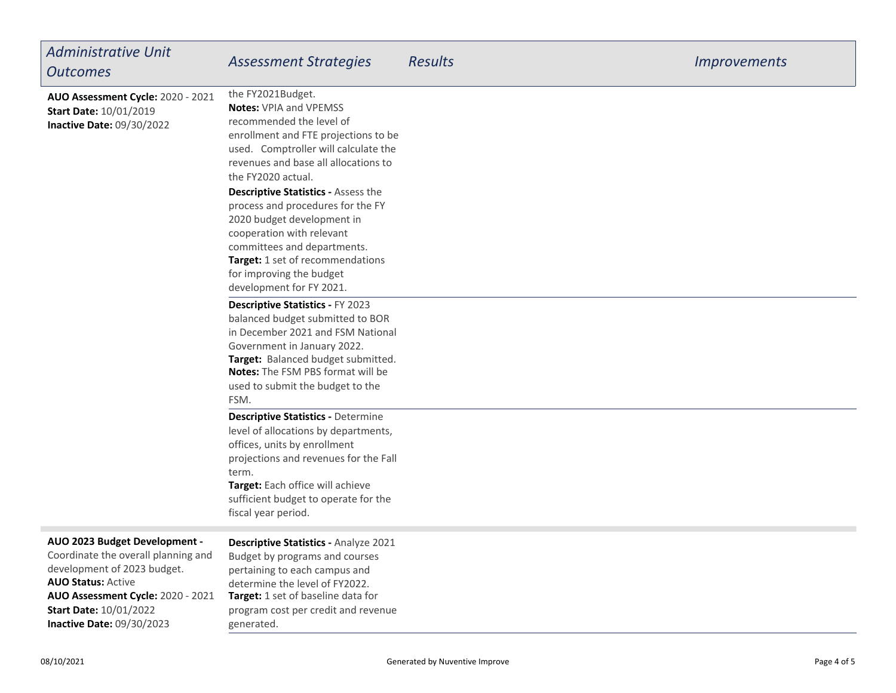| <b>Administrative Unit</b><br><b>Outcomes</b>                                                                                                                                                          | <b>Assessment Strategies</b>                                                                                                                                                                                                                                                                                                                                                                                                                                                                          | <b>Results</b> | <b>Improvements</b> |
|--------------------------------------------------------------------------------------------------------------------------------------------------------------------------------------------------------|-------------------------------------------------------------------------------------------------------------------------------------------------------------------------------------------------------------------------------------------------------------------------------------------------------------------------------------------------------------------------------------------------------------------------------------------------------------------------------------------------------|----------------|---------------------|
| AUO Assessment Cycle: 2020 - 2021<br><b>Start Date: 10/01/2019</b><br><b>Inactive Date: 09/30/2022</b>                                                                                                 | the FY2021Budget.<br><b>Notes: VPIA and VPEMSS</b><br>recommended the level of<br>enrollment and FTE projections to be<br>used. Comptroller will calculate the<br>revenues and base all allocations to<br>the FY2020 actual.<br><b>Descriptive Statistics - Assess the</b><br>process and procedures for the FY<br>2020 budget development in<br>cooperation with relevant<br>committees and departments.<br>Target: 1 set of recommendations<br>for improving the budget<br>development for FY 2021. |                |                     |
|                                                                                                                                                                                                        | <b>Descriptive Statistics - FY 2023</b><br>balanced budget submitted to BOR<br>in December 2021 and FSM National<br>Government in January 2022.<br>Target: Balanced budget submitted.<br>Notes: The FSM PBS format will be<br>used to submit the budget to the<br>FSM.                                                                                                                                                                                                                                |                |                     |
|                                                                                                                                                                                                        | <b>Descriptive Statistics - Determine</b><br>level of allocations by departments,<br>offices, units by enrollment<br>projections and revenues for the Fall<br>term.<br>Target: Each office will achieve<br>sufficient budget to operate for the<br>fiscal year period.                                                                                                                                                                                                                                |                |                     |
| AUO 2023 Budget Development -<br>Coordinate the overall planning and<br>development of 2023 budget.<br><b>AUO Status: Active</b><br>AUO Assessment Cycle: 2020 - 2021<br><b>Start Date: 10/01/2022</b> | Descriptive Statistics - Analyze 2021<br>Budget by programs and courses<br>pertaining to each campus and<br>determine the level of FY2022.<br>Target: 1 set of baseline data for<br>program cost per credit and revenue                                                                                                                                                                                                                                                                               |                |                     |

generated.

**Inactive Date:** 09/30/2023